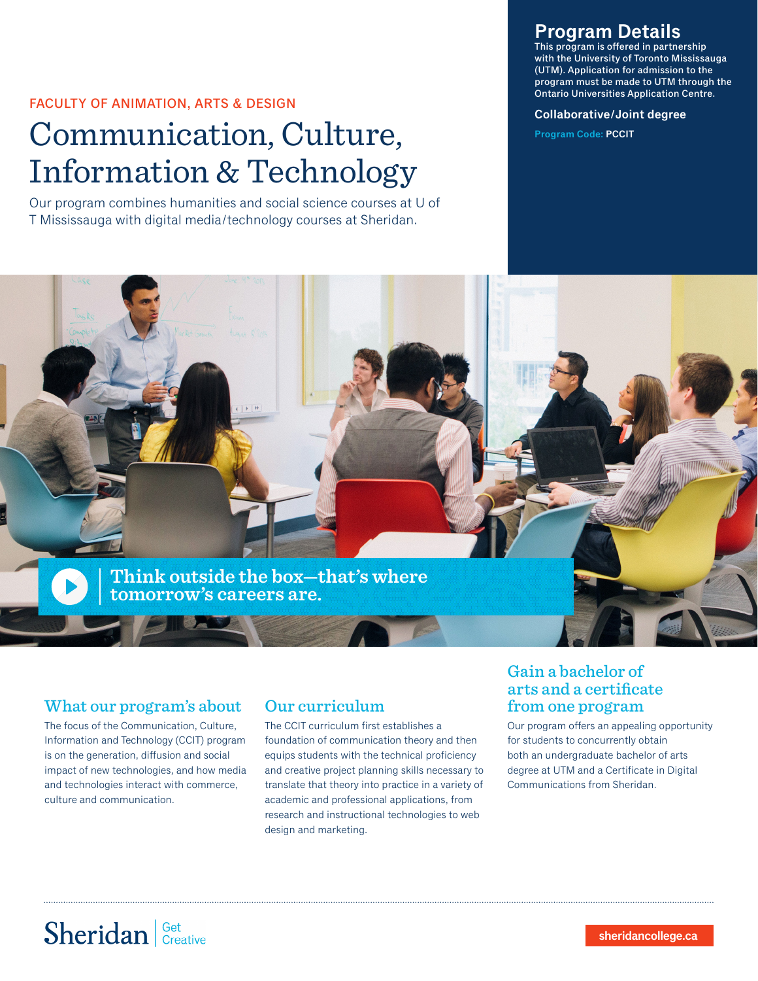### FACULTY OF ANIMATION, ARTS & DESIGN

# Communication, Culture, Information & Technology

Our program combines humanities and social science courses at U of T Mississauga with digital media/technology courses at Sheridan.

## **Program Details**

This program is offered in partnership with the University of Toronto Mississauga (UTM). Application for admission to the program must be made to UTM through the Ontario Universities Application Centre.

#### **Collaborative/Joint degree**

**Program Code: PCCIT**



### What our program's about

The focus of the Communication, Culture, Information and Technology (CCIT) program is on the generation, diffusion and social impact of new technologies, and how media and technologies interact with commerce, culture and communication.

## Our curriculum

The CCIT curriculum first establishes a foundation of communication theory and then equips students with the technical proficiency and creative project planning skills necessary to translate that theory into practice in a variety of academic and professional applications, from research and instructional technologies to web design and marketing.

## Gain a bachelor of arts and a certificate from one program

Our program offers an appealing opportunity for students to concurrently obtain both an undergraduate bachelor of arts degree at UTM and a Certificate in Digital Communications from Sheridan.

# Sheridan Get Creative